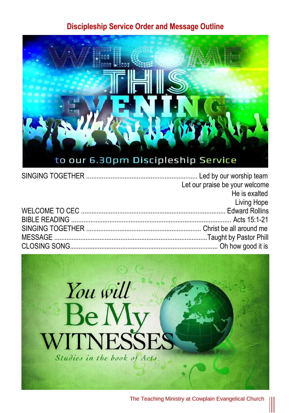#### **Discipleship Service Order and Message Outline**



| Let our praise be your welcome |
|--------------------------------|
| He is exalted                  |
| <b>Example 21 Diving Hope</b>  |
|                                |
|                                |
|                                |
|                                |
|                                |



The Teaching Ministry at Cowplain Evangelical Church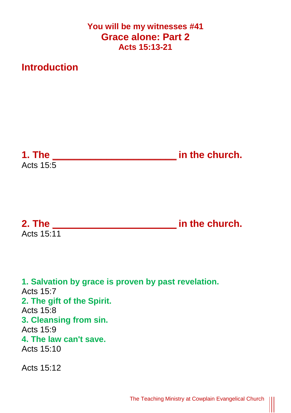#### **You will be my witnesses #41 Grace alone: Part 2 Acts 15:13-21**

## **Introduction**

**1. The \_\_\_\_\_\_\_\_\_\_\_\_\_\_\_\_\_\_\_\_\_\_\_ in the church.** Acts  $15:5$ 

**2. The \_\_\_\_\_\_\_\_\_\_\_\_\_\_\_\_\_\_\_\_\_\_\_ in the church.** Acts  $15.11$ 

**1. Salvation by grace is proven by past revelation.** Acts 15:7 **2. The gift of the Spirit.** Acts 15:8 **3. Cleansing from sin.** Acts 15:9 **4. The law can't save.** Acts 15:10 Acts 15:12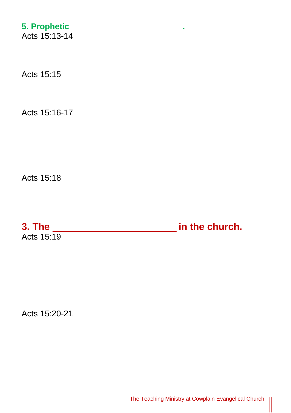# **5. Prophetic \_\_\_\_\_\_\_\_\_\_\_\_\_\_\_\_\_\_\_\_\_\_\_\_.**

Acts 15:13-14

Acts 15:15

Acts 15:16-17

Acts 15:18

**3. The \_\_\_\_\_\_\_\_\_\_\_\_\_\_\_\_\_\_\_\_\_\_\_ in the church.** Acts 15:19

Acts 15:20-21

 $\begin{matrix} \vspace{0.1cm} \vspace{0.1cm} \vspace{0.1cm} \vspace{0.1cm} \vspace{0.1cm} \vspace{0.1cm} \vspace{0.1cm} \vspace{0.1cm} \vspace{0.1cm} \vspace{0.1cm} \vspace{0.1cm} \vspace{0.1cm} \vspace{0.1cm} \vspace{0.1cm} \vspace{0.1cm} \vspace{0.1cm} \vspace{0.1cm} \vspace{0.1cm} \vspace{0.1cm} \vspace{0.1cm} \vspace{0.1cm} \vspace{0.1cm} \vspace{0.1cm} \vspace{0.1cm$